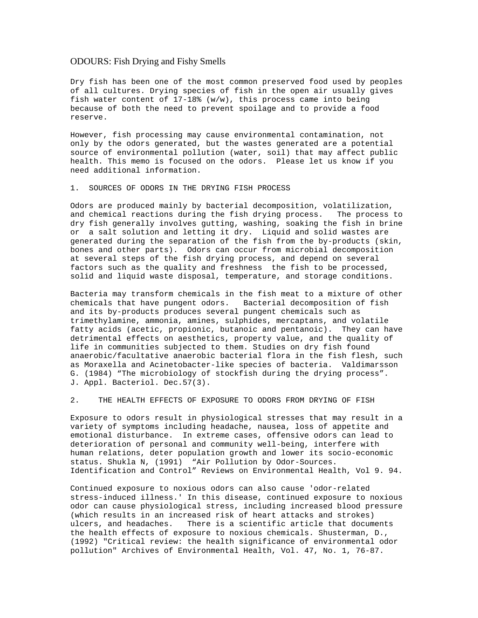## ODOURS: Fish Drying and Fishy Smells

Dry fish has been one of the most common preserved food used by peoples of all cultures. Drying species of fish in the open air usually gives fish water content of  $17-18$ % (w/w), this process came into being because of both the need to prevent spoilage and to provide a food reserve.

However, fish processing may cause environmental contamination, not only by the odors generated, but the wastes generated are a potential source of environmental pollution (water, soil) that may affect public health. This memo is focused on the odors. Please let us know if you need additional information.

1. SOURCES OF ODORS IN THE DRYING FISH PROCESS

Odors are produced mainly by bacterial decomposition, volatilization, and chemical reactions during the fish drying process. The process to dry fish generally involves gutting, washing, soaking the fish in brine or a salt solution and letting it dry. Liquid and solid wastes are generated during the separation of the fish from the by-products (skin, bones and other parts). Odors can occur from microbial decomposition at several steps of the fish drying process, and depend on several factors such as the quality and freshness the fish to be processed, solid and liquid waste disposal, temperature, and storage conditions.

Bacteria may transform chemicals in the fish meat to a mixture of other chemicals that have pungent odors. Bacterial decomposition of fish and its by-products produces several pungent chemicals such as trimethylamine, ammonia, amines, sulphides, mercaptans, and volatile fatty acids (acetic, propionic, butanoic and pentanoic). They can have detrimental effects on aesthetics, property value, and the quality of life in communities subjected to them. Studies on dry fish found anaerobic/facultative anaerobic bacterial flora in the fish flesh, such as Moraxella and Acinetobacter-like species of bacteria. Valdimarsson G. (1984) "The microbiology of stockfish during the drying process". J. Appl. Bacteriol. Dec.57(3).

2. THE HEALTH EFFECTS OF EXPOSURE TO ODORS FROM DRYING OF FISH

Exposure to odors result in physiological stresses that may result in a variety of symptoms including headache, nausea, loss of appetite and emotional disturbance. In extreme cases, offensive odors can lead to deterioration of personal and community well-being, interfere with human relations, deter population growth and lower its socio-economic status. Shukla N, (1991) "Air Pollution by Odor-Sources. Identification and Control" Reviews on Environmental Health, Vol 9. 94.

Continued exposure to noxious odors can also cause 'odor-related stress-induced illness.' In this disease, continued exposure to noxious odor can cause physiological stress, including increased blood pressure (which results in an increased risk of heart attacks and strokes) ulcers, and headaches. There is a scientific article that documents the health effects of exposure to noxious chemicals. Shusterman, D., (1992) "Critical review: the health significance of environmental odor pollution" Archives of Environmental Health, Vol. 47, No. 1, 76-87.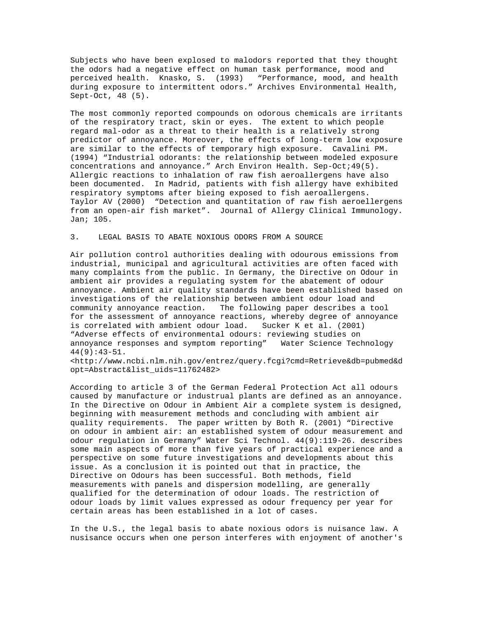Subjects who have been explosed to malodors reported that they thought the odors had a negative effect on human task performance, mood and perceived health. Knasko, S. (1993) "Performance, mood, and health during exposure to intermittent odors." Archives Environmental Health, Sept-Oct, 48 (5).

The most commonly reported compounds on odorous chemicals are irritants of the respiratory tract, skin or eyes. The extent to which people regard mal-odor as a threat to their health is a relatively strong predictor of annoyance. Moreover, the effects of long-term low exposure are similar to the effects of temporary high exposure. Cavalini PM. (1994) "Industrial odorants: the relationship between modeled exposure concentrations and annoyance." Arch Environ Health. Sep-Oct;49(5). Allergic reactions to inhalation of raw fish aeroallergens have also been documented. In Madrid, patients with fish allergy have exhibited respiratory symptoms after bieing exposed to fish aeroallergens. Taylor AV (2000) "Detection and quantitation of raw fish aeroellergens from an open-air fish market". Journal of Allergy Clinical Immunology. Jan; 105.

## 3. LEGAL BASIS TO ABATE NOXIOUS ODORS FROM A SOURCE

Air pollution control authorities dealing with odourous emissions from industrial, municipal and agricultural activities are often faced with many complaints from the public. In Germany, the Directive on Odour in ambient air provides a regulating system for the abatement of odour annoyance. Ambient air quality standards have been established based on investigations of the relationship between ambient odour load and community annoyance reaction. The following paper describes a tool for the assessment of annoyance reactions, whereby degree of annoyance is correlated with ambient odour load. Sucker K et al. (2001) "Adverse effects of environmental odours: reviewing studies on annoyance responses and symptom reporting" Water Science Technology 44(9):43-51.

<http://www.ncbi.nlm.nih.gov/entrez/query.fcgi?cmd=Retrieve&db=pubmed&d opt=Abstract&list\_uids=11762482>

According to article 3 of the German Federal Protection Act all odours caused by manufacture or industrual plants are defined as an annoyance. In the Directive on Odour in Ambient Air a complete system is designed, beginning with measurement methods and concluding with ambient air quality requirements. The paper written by Both R. (2001) "Directive on odour in ambient air: an established system of odour measurement and odour regulation in Germany" Water Sci Technol. 44(9):119-26. describes some main aspects of more than five years of practical experience and a perspective on some future investigations and developments about this issue. As a conclusion it is pointed out that in practice, the Directive on Odours has been successful. Both methods, field measurements with panels and dispersion modelling, are generally qualified for the determination of odour loads. The restriction of odour loads by limit values expressed as odour frequency per year for certain areas has been established in a lot of cases.

In the U.S., the legal basis to abate noxious odors is nuisance law. A nusisance occurs when one person interferes with enjoyment of another's